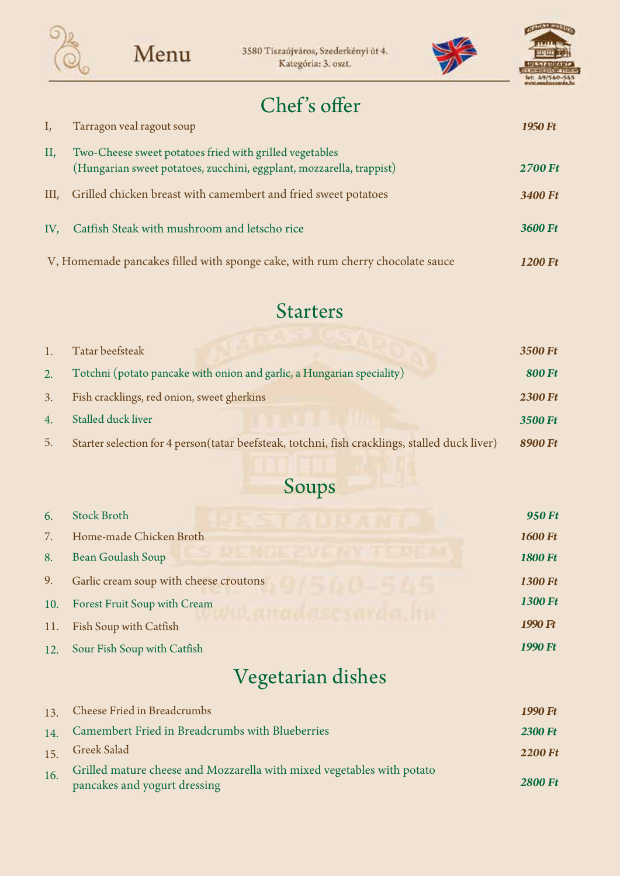





### Chef's offer

|         | Tarragon veal ragout soup                                                                                                       | 1950 Ft        |
|---------|---------------------------------------------------------------------------------------------------------------------------------|----------------|
| II,     | Two-Cheese sweet potatoes fried with grilled vegetables<br>(Hungarian sweet potatoes, zucchini, eggplant, mozzarella, trappist) | <b>2700 Ft</b> |
| $III$ , | Grilled chicken breast with camembert and fried sweet potatoes                                                                  | 3400 Ft        |
| IV,     | Catfish Steak with mushroom and letscho rice                                                                                    | 3600 Ft        |
|         | V, Homemade pancakes filled with sponge cake, with rum cherry chocolate sauce                                                   | 1200 Ft        |

#### Starters

|    | Tatar beefsteak                                                                               | 3500 Ft        |
|----|-----------------------------------------------------------------------------------------------|----------------|
| 2. | Totchni (potato pancake with onion and garlic, a Hungarian speciality)                        | <b>800 Ft</b>  |
| 3. | Fish cracklings, red onion, sweet gherkins                                                    | <b>2300 Ft</b> |
| 4. | Stalled duck liver                                                                            | 3500 Ft        |
| 5. | Starter selection for 4 person(tatar beefsteak, totchni, fish cracklings, stalled duck liver) | 8900 Ft        |

# Soups

| 6.  | <b>Stock Broth</b>                     | 950 Ft         |
|-----|----------------------------------------|----------------|
| 7.  | Home-made Chicken Broth                | <b>1600 Ft</b> |
| 8.  | Bean Goulash Soup                      | <b>1800 Ft</b> |
| 9.  | Garlic cream soup with cheese croutons | 1300 Ft        |
| 10. | Forest Fruit Soup with Cream           | 1300 Ft        |
| 11. | Fish Soup with Catfish                 | 1990 Ft        |
| 12. | Sour Fish Soup with Catfish            | 1990 Ft        |

## Vegetarian dishes

|     | 13. Cheese Fried in Breadcrumbs                                                                        | 1990 Ft        |
|-----|--------------------------------------------------------------------------------------------------------|----------------|
| 14. | Camembert Fried in Breadcrumbs with Blueberries                                                        | <b>2300 Ft</b> |
|     | 15. Greek Salad                                                                                        | <b>2200 Ft</b> |
| 16. | Grilled mature cheese and Mozzarella with mixed vegetables with potato<br>pancakes and yogurt dressing | <b>2800 Ft</b> |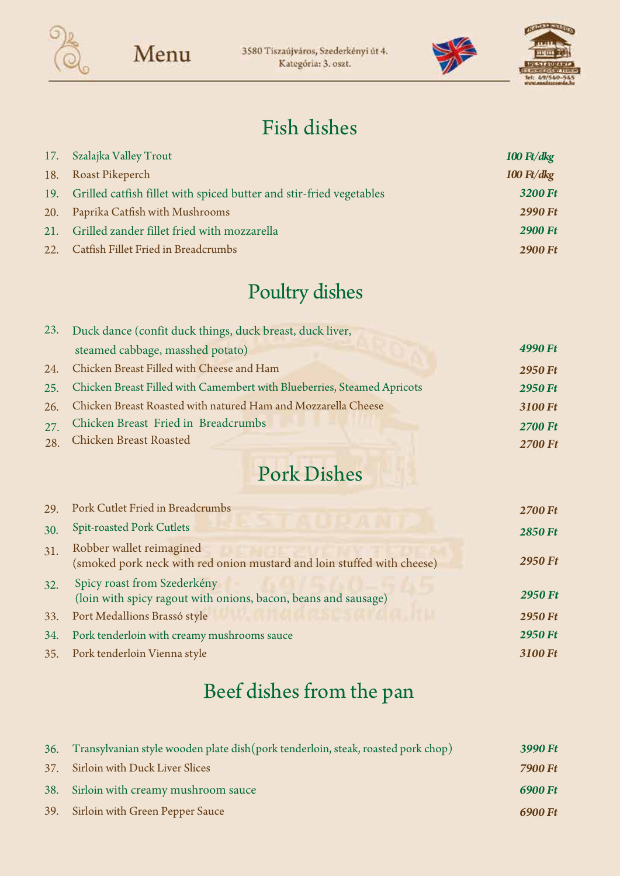





### Fish dishes

| 17. Szalajka Valley Trout                                               | $100 \text{ Ft}/d\text{kg}$ |
|-------------------------------------------------------------------------|-----------------------------|
| 18. Roast Pikeperch                                                     | $100 \text{ Ft}/d\text{kg}$ |
| 19. Grilled catfish fillet with spiced butter and stir-fried vegetables | 3200 Ft                     |
| 20. Paprika Catfish with Mushrooms                                      | <b>2990 Ft</b>              |
| 21. Grilled zander fillet fried with mozzarella                         | <b>2900 Ft</b>              |
| 22. Catfish Fillet Fried in Breadcrumbs                                 | <b>2900 Ft</b>              |

## Poultry dishes

|     | 23. Duck dance (confit duck things, duck breast, duck liver,            |                |
|-----|-------------------------------------------------------------------------|----------------|
|     | steamed cabbage, masshed potato)                                        | 4990 Ft        |
| 24. | Chicken Breast Filled with Cheese and Ham                               | <b>2950 Ft</b> |
| 25. | Chicken Breast Filled with Camembert with Blueberries, Steamed Apricots | <b>2950 Ft</b> |
| 26. | Chicken Breast Roasted with natured Ham and Mozzarella Cheese           | 3100 Ft        |
| 27  | Chicken Breast Fried in Breadcrumbs                                     | <b>2700 Ft</b> |
| 28. | <b>Chicken Breast Roasted</b>                                           | <b>2700 Ft</b> |

### Pork Dishes

| 29. | Pork Cutlet Fried in Breadcrumbs                                                                   | <b>2700 Ft</b> |
|-----|----------------------------------------------------------------------------------------------------|----------------|
| 30. | <b>Spit-roasted Pork Cutlets</b>                                                                   | <b>2850 Ft</b> |
| 31. | Robber wallet reimagined<br>(smoked pork neck with red onion mustard and loin stuffed with cheese) | <b>2950 Ft</b> |
| 32. | Spicy roast from Szederkény<br>(loin with spicy ragout with onions, bacon, beans and sausage)      | <b>2950 Ft</b> |
| 33. | Port Medallions Brassó style                                                                       | <b>2950 Ft</b> |
| 34. | Pork tenderloin with creamy mushrooms sauce                                                        | <b>2950 Ft</b> |
|     | 35. Pork tenderloin Vienna style                                                                   | 3100 Ft        |

# Beef dishes from the pan

| 36. Transylvanian style wooden plate dish(pork tenderloin, steak, roasted pork chop) | 3990 Ft |
|--------------------------------------------------------------------------------------|---------|
| 37. Sirloin with Duck Liver Slices                                                   | 7900 Ft |
| 38. Sirloin with creamy mushroom sauce                                               | 6900 Ft |
| 39. Sirloin with Green Pepper Sauce                                                  | 6900 Ft |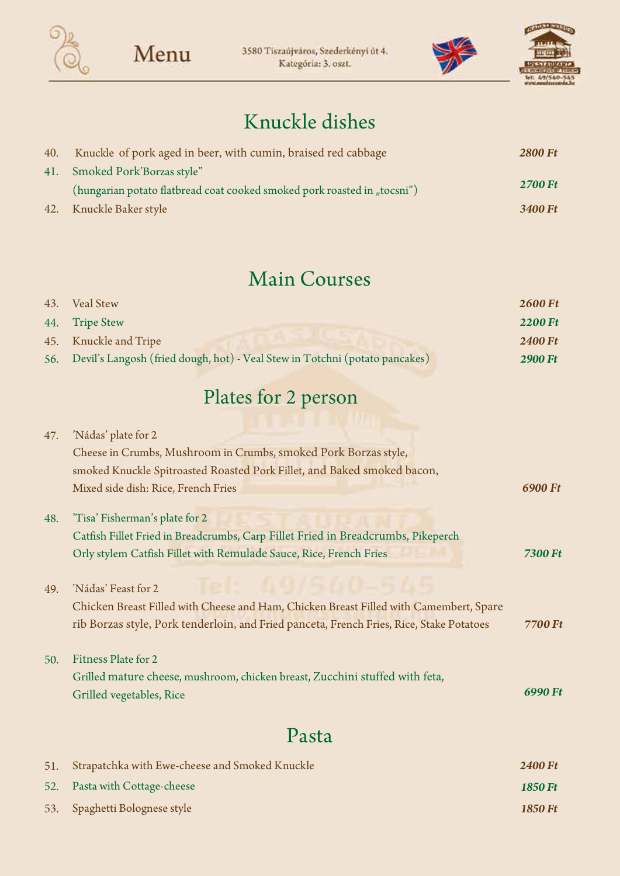

3580 Tiszaújváros, Szederkényi út 4. Kategória: 3. oszt.





#### Knuckle dishes

| 40. | Knuckle of pork aged in beer, with cumin, braised red cabbage            | <b>2800 Ft</b> |
|-----|--------------------------------------------------------------------------|----------------|
|     | 41. Smoked Pork'Borzas style"                                            |                |
|     | (hungarian potato flatbread coat cooked smoked pork roasted in "tocsni") | <b>2700 Ft</b> |
|     | 42. Knuckle Baker style                                                  | 3400 Ft        |

#### Main Courses

| 43. Veal Stew                                                                   | <b>2600 Ft</b> |
|---------------------------------------------------------------------------------|----------------|
| 44. Tripe Stew                                                                  | <b>2200 Ft</b> |
| 45. Knuckle and Tripe                                                           | <b>2400 Ft</b> |
| 56. Devil's Langosh (fried dough, hot) - Veal Stew in Totchni (potato pancakes) | <b>2900 Ft</b> |

## Plates for 2 person

| 47. | 'Nádas' plate for 2                                                                      |                |
|-----|------------------------------------------------------------------------------------------|----------------|
|     | Cheese in Crumbs, Mushroom in Crumbs, smoked Pork Borzas style,                          |                |
|     | smoked Knuckle Spitroasted Roasted Pork Fillet, and Baked smoked bacon,                  |                |
|     | Mixed side dish: Rice, French Fries                                                      | 6900 Ft        |
| 48. | 'Tisa' Fisherman's plate for 2                                                           |                |
|     | Catfish Fillet Fried in Breadcrumbs, Carp Fillet Fried in Breadcrumbs, Pikeperch         |                |
|     | Orly stylem Catfish Fillet with Remulade Sauce, Rice, French Fries                       | <b>7300 Ft</b> |
| 49. | 'Nádas' Feast for 2                                                                      |                |
|     | Chicken Breast Filled with Cheese and Ham, Chicken Breast Filled with Camembert, Spare   |                |
|     | rib Borzas style, Pork tenderloin, and Fried panceta, French Fries, Rice, Stake Potatoes | 7700 Ft        |
| 50. | Fitness Plate for 2                                                                      |                |
|     | Grilled mature cheese, mushroom, chicken breast, Zucchini stuffed with feta,             |                |
|     | Grilled vegetables, Rice                                                                 | 6990 Ft        |
|     | 'a cta                                                                                   |                |

| 51. Strapatchka with Ewe-cheese and Smoked Knuckle | <b>2400 Ft</b> |
|----------------------------------------------------|----------------|
| 52. Pasta with Cottage-cheese                      | 1850 Ft        |
| 53. Spaghetti Bolognese style                      | <b>1850 Ft</b> |